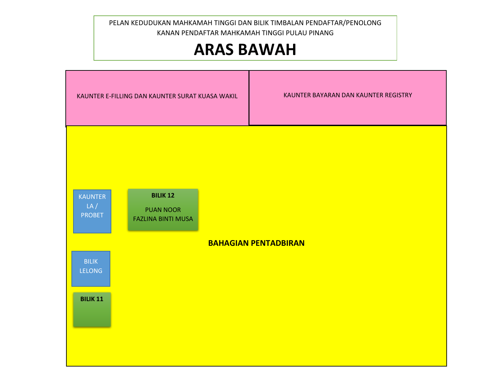KANAN PENDAFTAR MAHKAMAH TINGGI PULAU PINANG<br> **ARAS RAMAH** PELAN KEDUDUKAN MAHKAMAH TINGGI DAN BILIK TIMBALAN PENDAFTAR/PENOLONG

## **ARAS BAWAH**

| KAUNTER E-FILLING DAN KAUNTER SURAT KUASA WAKIL                                                                                                                                               | KAUNTER BAYARAN DAN KAUNTER REGISTRY |
|-----------------------------------------------------------------------------------------------------------------------------------------------------------------------------------------------|--------------------------------------|
| <b>BILIK 12</b><br><b>KAUNTER</b><br>LA/<br><b>PUAN NOOR</b><br><b>PROBET</b><br><b>FAZLINA BINTI MUSA</b><br><b>BAHAGIAN PENTADBIRAN</b><br><b>BILIK</b><br><b>LELONG</b><br><b>BILIK 11</b> |                                      |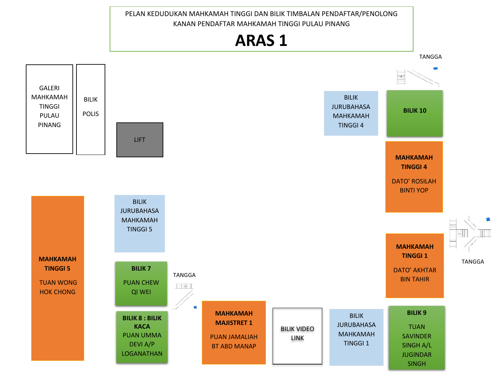PELAN KEDUDUKAN MAHKAMAH TINGGI DAN BILIK TIMBALAN PENDAFTAR/PENOLONG KANAN PENDAFTAR MAHKAMAH TINGGI PULAU PINANG

## **ARAS 1 ARAS 1**